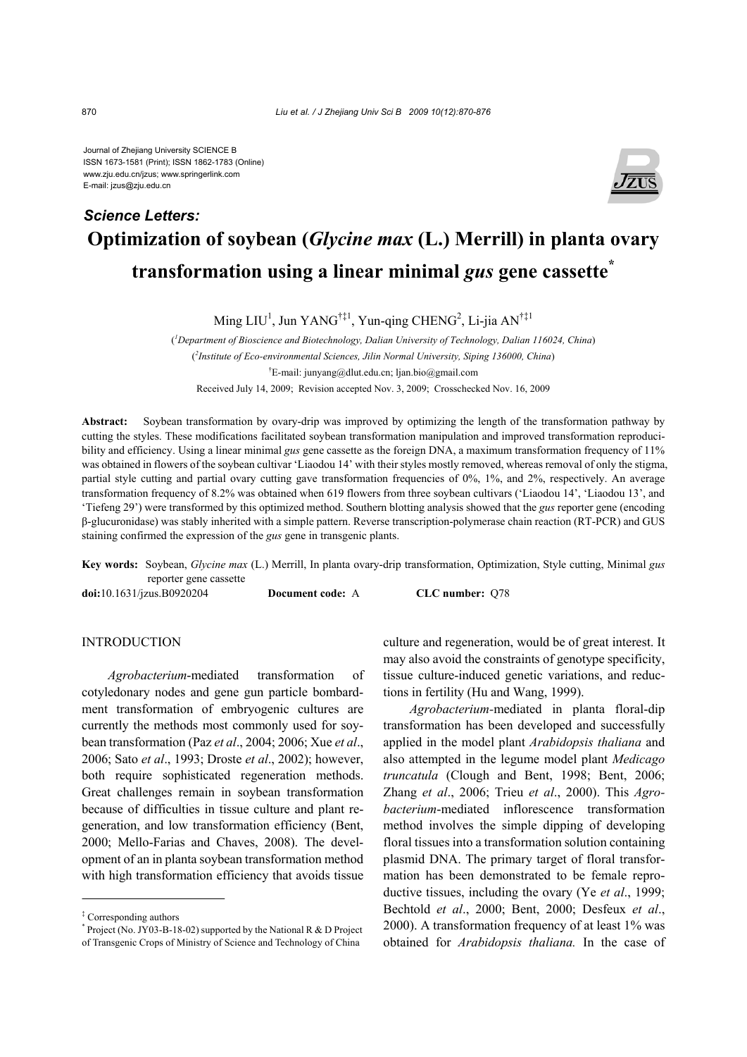Journal of Zhejiang University SCIENCE B ISSN 1673-1581 (Print); ISSN 1862-1783 (Online) www.zju.edu.cn/jzus; www.springerlink.com E-mail: jzus@zju.edu.cn



# **Optimization of soybean (***Glycine max* **(L.) Merrill) in planta ovary transformation using a linear minimal** *gus* **gene cassette\*** *Science Letters:*

Ming LIU<sup>1</sup>, Jun YANG<sup>†‡1</sup>, Yun-qing CHENG<sup>2</sup>, Li-jia AN<sup>†‡1</sup>

( *1 Department of Bioscience and Biotechnology, Dalian University of Technology, Dalian 116024, China*) ( *2 Institute of Eco-environmental Sciences, Jilin Normal University, Siping 136000, China*) † E-mail: junyang@dlut.edu.cn; ljan.bio@gmail.com Received July 14, 2009; Revision accepted Nov. 3, 2009; Crosschecked Nov. 16, 2009

**Abstract:** Soybean transformation by ovary-drip was improved by optimizing the length of the transformation pathway by cutting the styles. These modifications facilitated soybean transformation manipulation and improved transformation reproducibility and efficiency. Using a linear minimal *gus* gene cassette as the foreign DNA, a maximum transformation frequency of 11% was obtained in flowers of the soybean cultivar 'Liaodou 14' with their styles mostly removed, whereas removal of only the stigma, partial style cutting and partial ovary cutting gave transformation frequencies of 0%, 1%, and 2%, respectively. An average transformation frequency of 8.2% was obtained when 619 flowers from three soybean cultivars ('Liaodou 14', 'Liaodou 13', and 'Tiefeng 29') were transformed by this optimized method. Southern blotting analysis showed that the *gus* reporter gene (encoding β-glucuronidase) was stably inherited with a simple pattern. Reverse transcription-polymerase chain reaction (RT-PCR) and GUS staining confirmed the expression of the *gus* gene in transgenic plants.

**Key words:** Soybean, *Glycine max* (L.) Merrill, In planta ovary-drip transformation, Optimization, Style cutting, Minimal *gus* reporter gene cassette

**doi:**10.1631/jzus.B0920204 **Document code:** A **CLC number:** Q78

# **INTRODUCTION**

*Agrobacterium*-mediated transformation of cotyledonary nodes and gene gun particle bombardment transformation of embryogenic cultures are currently the methods most commonly used for soybean transformation (Paz *et al*., 2004; 2006; Xue *et al*., 2006; Sato *et al*., 1993; Droste *et al*., 2002); however, both require sophisticated regeneration methods. Great challenges remain in soybean transformation because of difficulties in tissue culture and plant regeneration, and low transformation efficiency (Bent, 2000; Mello-Farias and Chaves, 2008). The development of an in planta soybean transformation method with high transformation efficiency that avoids tissue culture and regeneration, would be of great interest. It may also avoid the constraints of genotype specificity, tissue culture-induced genetic variations, and reductions in fertility (Hu and Wang, 1999).

*Agrobacterium-*mediated in planta floral-dip transformation has been developed and successfully applied in the model plant *Arabidopsis thaliana* and also attempted in the legume model plant *Medicago truncatula* (Clough and Bent, 1998; Bent, 2006; Zhang *et al*., 2006; Trieu *et al*., 2000). This *Agrobacterium*-mediated inflorescence transformation method involves the simple dipping of developing floral tissues into a transformation solution containing plasmid DNA. The primary target of floral transformation has been demonstrated to be female reproductive tissues, including the ovary (Ye *et al*., 1999; Bechtold *et al*., 2000; Bent, 2000; Desfeux *et al*., 2000). A transformation frequency of at least 1% was obtained for *Arabidopsis thaliana.* In the case of

<sup>‡</sup> Corresponding authors

 $*$  Project (No. JY03-B-18-02) supported by the National R & D Project of Transgenic Crops of Ministry of Science and Technology of China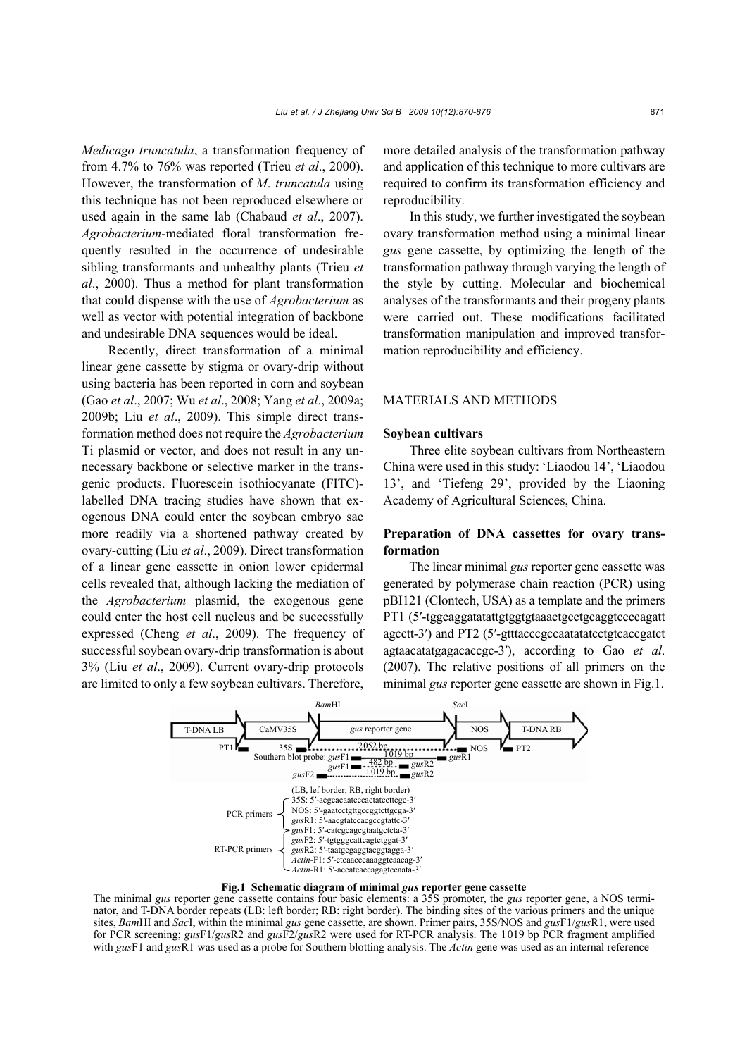*Medicago truncatula*, a transformation frequency of from 4.7% to 76% was reported (Trieu *et al*., 2000). However, the transformation of *M*. *truncatula* using this technique has not been reproduced elsewhere or used again in the same lab (Chabaud *et al*., 2007). *Agrobacterium-*mediated floral transformation frequently resulted in the occurrence of undesirable sibling transformants and unhealthy plants (Trieu *et al*., 2000). Thus a method for plant transformation that could dispense with the use of *Agrobacterium* as well as vector with potential integration of backbone and undesirable DNA sequences would be ideal.

Recently, direct transformation of a minimal linear gene cassette by stigma or ovary-drip without using bacteria has been reported in corn and soybean (Gao *et al*., 2007; Wu *et al*., 2008; Yang *et al*., 2009a; 2009b; Liu *et al*., 2009). This simple direct transformation method does not require the *Agrobacterium* Ti plasmid or vector, and does not result in any unnecessary backbone or selective marker in the transgenic products. Fluorescein isothiocyanate (FITC) labelled DNA tracing studies have shown that exogenous DNA could enter the soybean embryo sac more readily via a shortened pathway created by ovary-cutting (Liu *et al*., 2009). Direct transformation of a linear gene cassette in onion lower epidermal cells revealed that, although lacking the mediation of the *Agrobacterium* plasmid, the exogenous gene could enter the host cell nucleus and be successfully expressed (Cheng *et al*., 2009). The frequency of successful soybean ovary-drip transformation is about 3% (Liu *et al*., 2009). Current ovary-drip protocols are limited to only a few soybean cultivars. Therefore,

more detailed analysis of the transformation pathway and application of this technique to more cultivars are required to confirm its transformation efficiency and reproducibility.

In this study, we further investigated the soybean ovary transformation method using a minimal linear *gus* gene cassette, by optimizing the length of the transformation pathway through varying the length of the style by cutting. Molecular and biochemical analyses of the transformants and their progeny plants were carried out. These modifications facilitated transformation manipulation and improved transformation reproducibility and efficiency.

## MATERIALS AND METHODS

## **Soybean cultivars**

Three elite soybean cultivars from Northeastern China were used in this study: 'Liaodou 14', 'Liaodou 13', and 'Tiefeng 29', provided by the Liaoning Academy of Agricultural Sciences, China.

# **Preparation of DNA cassettes for ovary transformation**

The linear minimal *gus* reporter gene cassette was generated by polymerase chain reaction (PCR) using pBI121 (Clontech, USA) as a template and the primers PT1 (5′-tggcaggatatattgtggtgtaaactgcctgcaggtccccagatt agcctt-3′) and PT2 (5′-gtttacccgccaatatatcctgtcaccgatct agtaacatatgagacaccgc-3′), according to Gao *et al*. (2007). The relative positions of all primers on the minimal *gus* reporter gene cassette are shown in Fig.1.



**Fig.1 Schematic diagram of minimal** *gus* **reporter gene cassette**

The minimal *gus* reporter gene cassette contains four basic elements: a 35S promoter, the *gus* reporter gene, a NOS terminator, and T-DNA border repeats (LB: left border; RB: right border). The binding sites of the various primers and the unique sites, *Bam*HI and *Sac*I, within the minimal *gus* gene cassette, are shown. Primer pairs, 35S/NOS and *gus*F1/*gus*R1, were used for PCR screening; *gus*F1/*gus*R2 and *gus*F2/*gus*R2 were used for RT-PCR analysis. The 1019 bp PCR fragment amplified with *gus*F1 and *gus*R1 was used as a probe for Southern blotting analysis. The *Actin* gene was used as an internal reference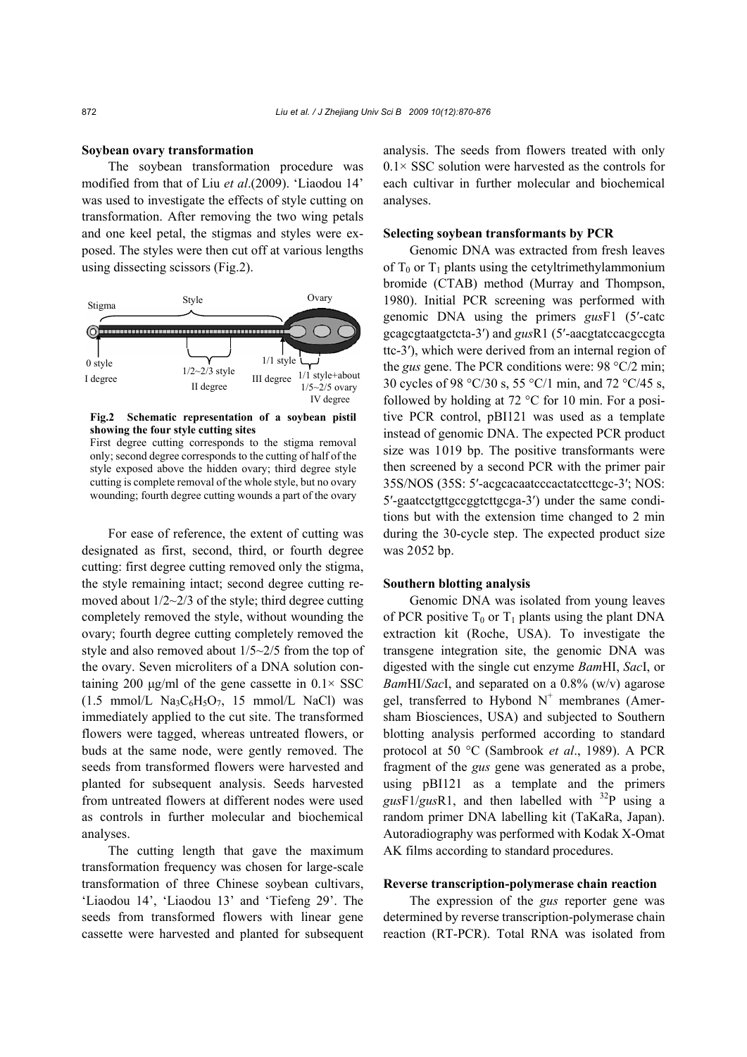#### **Soybean ovary transformation**

The soybean transformation procedure was modified from that of Liu *et al*.(2009). 'Liaodou 14' was used to investigate the effects of style cutting on transformation. After removing the two wing petals and one keel petal, the stigmas and styles were exposed. The styles were then cut off at various lengths using dissecting scissors (Fig.2).



**Fig.2 Schematic representation of a soybean pistil showing the four style cutting sites**

First degree cutting corresponds to the stigma removal only; second degree corresponds to the cutting of half of the style exposed above the hidden ovary; third degree style cutting is complete removal of the whole style, but no ovary wounding; fourth degree cutting wounds a part of the ovary

For ease of reference, the extent of cutting was designated as first, second, third, or fourth degree cutting: first degree cutting removed only the stigma, the style remaining intact; second degree cutting removed about  $1/2 \sim 2/3$  of the style; third degree cutting completely removed the style, without wounding the ovary; fourth degree cutting completely removed the style and also removed about 1/5~2/5 from the top of the ovary. Seven microliters of a DNA solution containing 200 μg/ml of the gene cassette in  $0.1 \times$  SSC  $(1.5 \text{ mmol/L}$  Na<sub>3</sub>C<sub>6</sub>H<sub>5</sub>O<sub>7</sub>, 15 mmol/L NaCl) was immediately applied to the cut site. The transformed flowers were tagged, whereas untreated flowers, or buds at the same node, were gently removed. The seeds from transformed flowers were harvested and planted for subsequent analysis. Seeds harvested from untreated flowers at different nodes were used as controls in further molecular and biochemical analyses.

The cutting length that gave the maximum transformation frequency was chosen for large-scale transformation of three Chinese soybean cultivars, 'Liaodou 14', 'Liaodou 13' and 'Tiefeng 29'. The seeds from transformed flowers with linear gene cassette were harvested and planted for subsequent analysis. The seeds from flowers treated with only  $0.1 \times$  SSC solution were harvested as the controls for each cultivar in further molecular and biochemical analyses.

## **Selecting soybean transformants by PCR**

Genomic DNA was extracted from fresh leaves of  $T_0$  or  $T_1$  plants using the cetyltrimethylammonium bromide (CTAB) method (Murray and Thompson, 1980). Initial PCR screening was performed with genomic DNA using the primers *gus*F1 (5′-catc gcagcgtaatgctcta-3′) and *gus*R1 (5′-aacgtatccacgccgta ttc-3′), which were derived from an internal region of the *gus* gene. The PCR conditions were: 98 °C/2 min; 30 cycles of 98 °C/30 s, 55 °C/1 min, and 72 °C/45 s, followed by holding at 72 °C for 10 min. For a positive PCR control, pBI121 was used as a template instead of genomic DNA. The expected PCR product size was 1019 bp. The positive transformants were then screened by a second PCR with the primer pair 35S/NOS (35S: 5′-acgcacaatcccactatccttcgc-3′; NOS: 5′-gaatcctgttgccggtcttgcga-3′) under the same conditions but with the extension time changed to 2 min during the 30-cycle step. The expected product size was 2052 bp.

#### **Southern blotting analysis**

Genomic DNA was isolated from young leaves of PCR positive  $T_0$  or  $T_1$  plants using the plant DNA extraction kit (Roche, USA). To investigate the transgene integration site, the genomic DNA was digested with the single cut enzyme *Bam*HI, *Sac*I, or *Bam*HI/*Sac*I, and separated on a 0.8% (w/v) agarose gel, transferred to Hybond  $N^+$  membranes (Amersham Biosciences, USA) and subjected to Southern blotting analysis performed according to standard protocol at 50 °C (Sambrook *et al*., 1989). A PCR fragment of the *gus* gene was generated as a probe, using pBI121 as a template and the primers  $gusF1/gusR1$ , and then labelled with  $32P$  using a random primer DNA labelling kit (TaKaRa, Japan). Autoradiography was performed with Kodak X-Omat AK films according to standard procedures.

# **Reverse transcription-polymerase chain reaction**

The expression of the *gus* reporter gene was determined by reverse transcription-polymerase chain reaction (RT-PCR). Total RNA was isolated from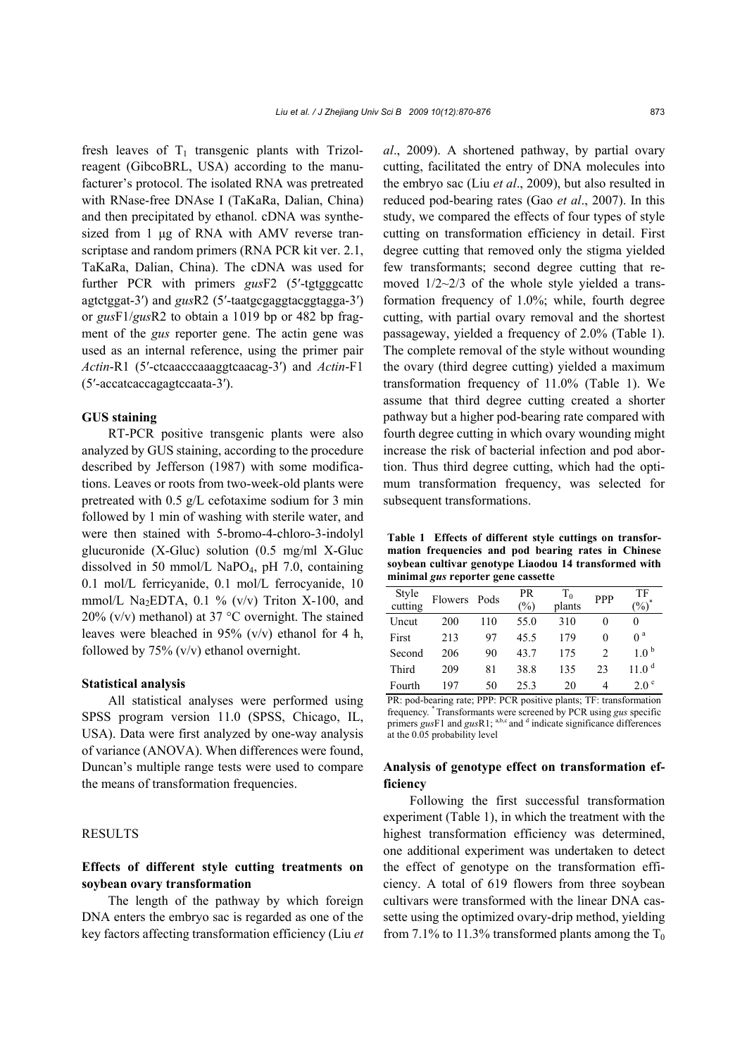fresh leaves of  $T_1$  transgenic plants with Trizolreagent (GibcoBRL, USA) according to the manufacturer's protocol. The isolated RNA was pretreated with RNase-free DNAse I (TaKaRa, Dalian, China) and then precipitated by ethanol. cDNA was synthesized from 1 μg of RNA with AMV reverse transcriptase and random primers (RNA PCR kit ver. 2.1, TaKaRa, Dalian, China). The cDNA was used for further PCR with primers *gus*F2 (5′-tgtgggcattc agtctggat-3′) and *gus*R2 (5′-taatgcgaggtacggtagga-3′) or *gus*F1/*gus*R2 to obtain a 1019 bp or 482 bp fragment of the *gus* reporter gene. The actin gene was used as an internal reference, using the primer pair *Actin*-R1 (5′-ctcaacccaaaggtcaacag-3′) and *Actin*-F1 (5′-accatcaccagagtccaata-3′).

# **GUS staining**

RT-PCR positive transgenic plants were also analyzed by GUS staining, according to the procedure described by Jefferson (1987) with some modifications. Leaves or roots from two-week-old plants were pretreated with 0.5 g/L cefotaxime sodium for 3 min followed by 1 min of washing with sterile water, and were then stained with 5-bromo-4-chloro-3-indolyl glucuronide (X-Gluc) solution (0.5 mg/ml X-Gluc dissolved in 50 mmol/L NaPO<sub>4</sub>, pH 7.0, containing 0.1 mol/L ferricyanide, 0.1 mol/L ferrocyanide, 10 mmol/L Na<sub>2</sub>EDTA, 0.1 % (v/v) Triton X-100, and 20% (v/v) methanol) at 37  $\degree$ C overnight. The stained leaves were bleached in 95% (v/v) ethanol for 4 h, followed by 75% (v/v) ethanol overnight.

#### **Statistical analysis**

All statistical analyses were performed using SPSS program version 11.0 (SPSS, Chicago, IL, USA). Data were first analyzed by one-way analysis of variance (ANOVA). When differences were found, Duncan's multiple range tests were used to compare the means of transformation frequencies.

## RESULTS

# **Effects of different style cutting treatments on soybean ovary transformation**

The length of the pathway by which foreign DNA enters the embryo sac is regarded as one of the key factors affecting transformation efficiency (Liu *et* 

*al*., 2009). A shortened pathway, by partial ovary cutting, facilitated the entry of DNA molecules into the embryo sac (Liu *et al*., 2009), but also resulted in reduced pod-bearing rates (Gao *et al*., 2007). In this study, we compared the effects of four types of style cutting on transformation efficiency in detail. First degree cutting that removed only the stigma yielded few transformants; second degree cutting that removed 1/2~2/3 of the whole style yielded a transformation frequency of 1.0%; while, fourth degree cutting, with partial ovary removal and the shortest passageway, yielded a frequency of 2.0% (Table 1). The complete removal of the style without wounding the ovary (third degree cutting) yielded a maximum transformation frequency of 11.0% (Table 1). We assume that third degree cutting created a shorter pathway but a higher pod-bearing rate compared with fourth degree cutting in which ovary wounding might increase the risk of bacterial infection and pod abortion. Thus third degree cutting, which had the optimum transformation frequency, was selected for subsequent transformations.

**Table 1 Effects of different style cuttings on transformation frequencies and pod bearing rates in Chinese soybean cultivar genotype Liaodou 14 transformed with minimal** *gus* **reporter gene cassette**

| Style<br>cutting | Flowers | Pods | PR<br>$\binom{0}{0}$ | $T_0$<br>plants | <b>PPP</b> | TF<br>$\frac{1}{2}$ |
|------------------|---------|------|----------------------|-----------------|------------|---------------------|
| Uncut            | 200     | 110  | 55.0                 | 310             |            | 0                   |
| First            | 213     | 97   | 45.5                 | 179             |            | 0 <sup>a</sup>      |
| Second           | 206     | 90   | 43.7                 | 175             |            | $1.0^{\circ}$       |
| Third            | 209     | 81   | 38.8                 | 135             | 23         | 11.0 <sup>d</sup>   |
| Fourth           | 197     | 50   | 25.3                 | 20              | 4          | 2.0 <sup>c</sup>    |

PR: pod-bearing rate; PPP: PCR positive plants; TF: transformation frequency. \* Transformants were screened by PCR using *gus* specific primers *gus*F1 and *gusR1*; <sup>a,b,c</sup> and <sup>d</sup> indicate significance differences at the 0.05 probability level

# **Analysis of genotype effect on transformation efficiency**

Following the first successful transformation experiment (Table 1), in which the treatment with the highest transformation efficiency was determined, one additional experiment was undertaken to detect the effect of genotype on the transformation efficiency. A total of 619 flowers from three soybean cultivars were transformed with the linear DNA cassette using the optimized ovary-drip method, yielding from 7.1% to 11.3% transformed plants among the  $T_0$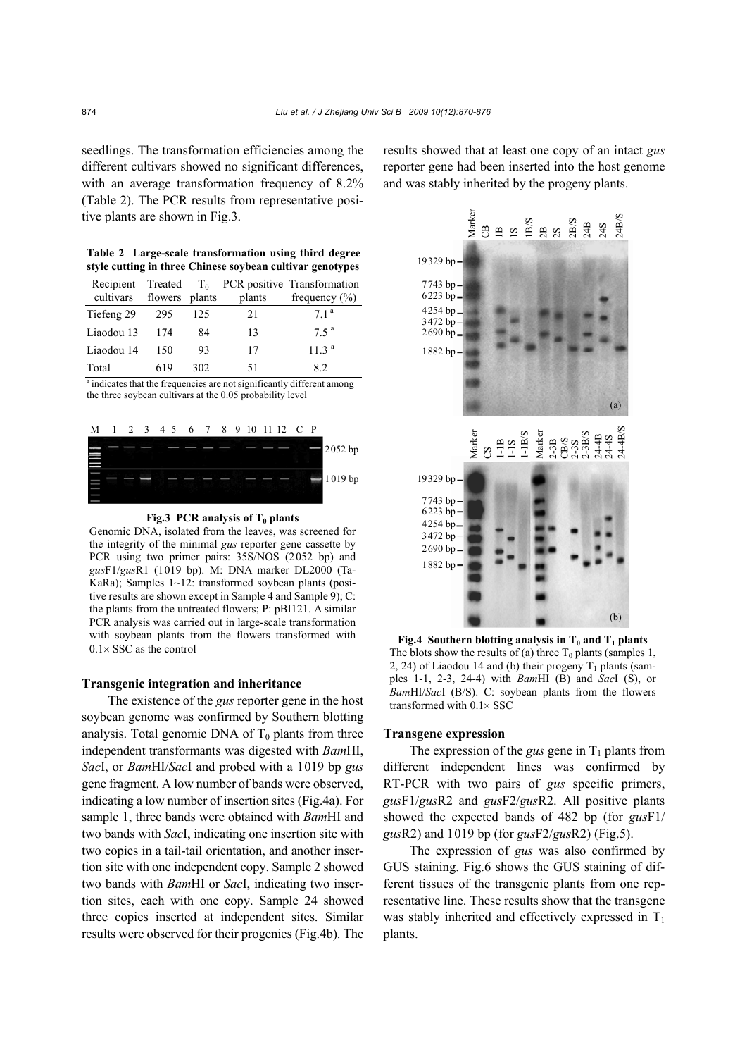seedlings. The transformation efficiencies among the different cultivars showed no significant differences, with an average transformation frequency of 8.2% (Table 2). The PCR results from representative positive plants are shown in Fig.3.

**Table 2 Large-scale transformation using third degree style cutting in three Chinese soybean cultivar genotypes**

| cultivars flowers plants |      |     | plants | Recipient Treated $T_0$ PCR positive Transformation<br>frequency $(\% )$ |
|--------------------------|------|-----|--------|--------------------------------------------------------------------------|
| Tiefeng 29               | -295 | 125 | 21     | 71 <sup>a</sup>                                                          |
| Liaodou 13               | 174  | 84  | 13     | 75 <sup>a</sup>                                                          |
| Liaodou 14               | 150  | 93  | 17     | 11.3 <sup>a</sup>                                                        |
| Total                    | 619  | 302 | 51     | 82                                                                       |

<sup>a</sup> indicates that the frequencies are not significantly different among the three soybean cultivars at the 0.05 probability level





Genomic DNA, isolated from the leaves, was screened for the integrity of the minimal *gus* reporter gene cassette by PCR using two primer pairs: 35S/NOS (2052 bp) and *gus*F1/*gus*R1 (1019 bp). M: DNA marker DL2000 (Ta-KaRa); Samples 1~12: transformed soybean plants (positive results are shown except in Sample 4 and Sample 9); C: the plants from the untreated flowers; P: pBI121. A similar PCR analysis was carried out in large-scale transformation with soybean plants from the flowers transformed with  $0.1 \times$  SSC as the control

#### **Transgenic integration and inheritance**

The existence of the *gus* reporter gene in the host soybean genome was confirmed by Southern blotting analysis. Total genomic DNA of  $T_0$  plants from three independent transformants was digested with *Bam*HI, *Sac*I, or *Bam*HI/*Sac*I and probed with a 1019 bp *gus* gene fragment. A low number of bands were observed, indicating a low number of insertion sites (Fig.4a). For sample 1, three bands were obtained with *Bam*HI and two bands with *Sac*I, indicating one insertion site with two copies in a tail-tail orientation, and another insertion site with one independent copy. Sample 2 showed two bands with *Bam*HI or *Sac*I, indicating two insertion sites, each with one copy. Sample 24 showed three copies inserted at independent sites. Similar results were observed for their progenies (Fig.4b). The

results showed that at least one copy of an intact *gus* reporter gene had been inserted into the host genome and was stably inherited by the progeny plants.



**Fig.4 Southern blotting analysis in**  $T_0$  **and**  $T_1$  **plants** The blots show the results of (a) three  $T_0$  plants (samples 1, 2, 24) of Liaodou 14 and (b) their progeny  $T_1$  plants (samples 1-1, 2-3, 24-4) with *Bam*HI (B) and *Sac*I (S), or *Bam*HI/*Sac*I (B/S). C: soybean plants from the flowers transformed with 0.1× SSC

#### **Transgene expression**

The expression of the *gus* gene in  $T_1$  plants from different independent lines was confirmed by RT-PCR with two pairs of *gus* specific primers, *gus*F1/*gus*R2 and *gus*F2/*gus*R2. All positive plants showed the expected bands of 482 bp (for *gus*F1/ *gus*R2) and 1019 bp (for *gus*F2/*gus*R2) (Fig.5).

The expression of *gus* was also confirmed by GUS staining. Fig.6 shows the GUS staining of different tissues of the transgenic plants from one representative line. These results show that the transgene was stably inherited and effectively expressed in  $T_1$ plants.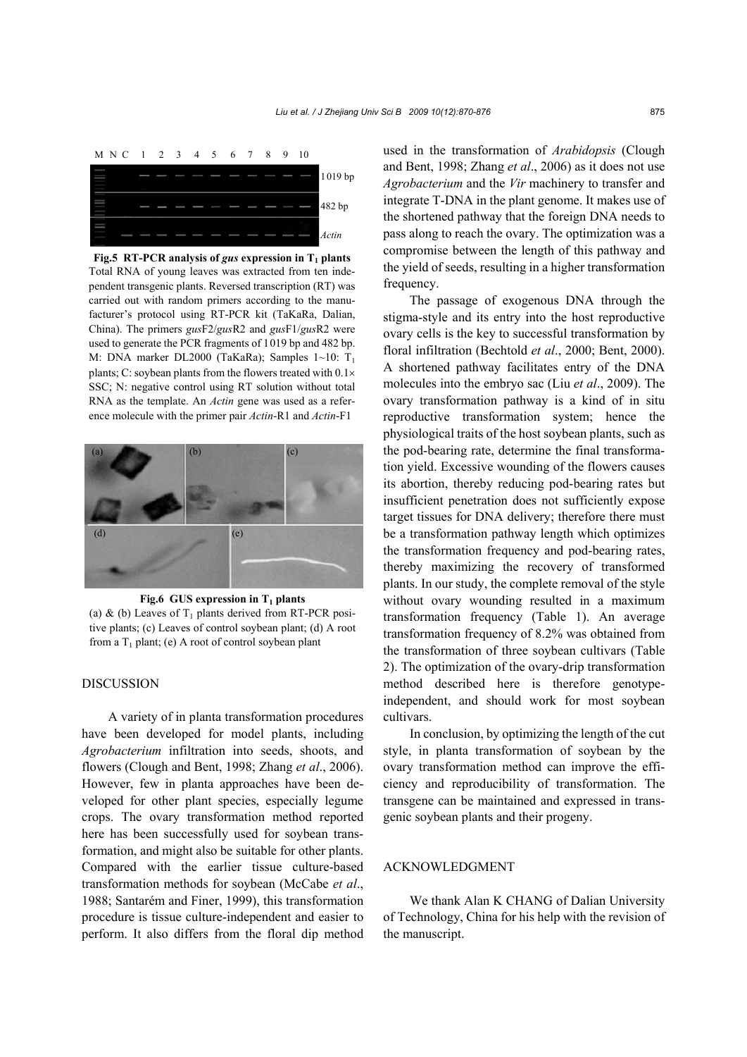

**Fig.5 RT-PCR analysis of** *gus* **expression in**  $T_1$  **plants** Total RNA of young leaves was extracted from ten independent transgenic plants. Reversed transcription (RT) was carried out with random primers according to the manufacturer's protocol using RT-PCR kit (TaKaRa, Dalian, China). The primers *gus*F2/*gus*R2 and *gus*F1/*gus*R2 were used to generate the PCR fragments of 1019 bp and 482 bp. M: DNA marker DL2000 (TaKaRa); Samples 1~10: T<sub>1</sub> plants; C: soybean plants from the flowers treated with 0.1× SSC; N: negative control using RT solution without total RNA as the template. An *Actin* gene was used as a reference molecule with the primer pair *Actin*-R1 and *Actin*-F1



Fig.6 GUS expression in T<sub>1</sub> plants

(a) & (b) Leaves of  $T_1$  plants derived from RT-PCR positive plants; (c) Leaves of control soybean plant; (d) A root from a  $T_1$  plant; (e) A root of control soybean plant

## **DISCUSSION**

A variety of in planta transformation procedures have been developed for model plants, including *Agrobacterium* infiltration into seeds, shoots, and flowers (Clough and Bent, 1998; Zhang *et al*., 2006). However, few in planta approaches have been developed for other plant species, especially legume crops. The ovary transformation method reported here has been successfully used for soybean transformation, and might also be suitable for other plants. Compared with the earlier tissue culture-based transformation methods for soybean (McCabe *et al*., 1988; Santarém and Finer, 1999), this transformation procedure is tissue culture-independent and easier to perform. It also differs from the floral dip method used in the transformation of *Arabidopsis* (Clough and Bent, 1998; Zhang *et al*., 2006) as it does not use *Agrobacterium* and the *Vir* machinery to transfer and integrate T-DNA in the plant genome. It makes use of the shortened pathway that the foreign DNA needs to pass along to reach the ovary. The optimization was a compromise between the length of this pathway and the yield of seeds, resulting in a higher transformation frequency.

The passage of exogenous DNA through the stigma-style and its entry into the host reproductive ovary cells is the key to successful transformation by floral infiltration (Bechtold *et al*., 2000; Bent, 2000). A shortened pathway facilitates entry of the DNA molecules into the embryo sac (Liu *et al*., 2009). The ovary transformation pathway is a kind of in situ reproductive transformation system; hence the physiological traits of the host soybean plants, such as the pod-bearing rate, determine the final transformation yield. Excessive wounding of the flowers causes its abortion, thereby reducing pod-bearing rates but insufficient penetration does not sufficiently expose target tissues for DNA delivery; therefore there must be a transformation pathway length which optimizes the transformation frequency and pod-bearing rates, thereby maximizing the recovery of transformed plants. In our study, the complete removal of the style without ovary wounding resulted in a maximum transformation frequency (Table 1). An average transformation frequency of 8.2% was obtained from the transformation of three soybean cultivars (Table 2). The optimization of the ovary-drip transformation method described here is therefore genotypeindependent, and should work for most soybean cultivars.

In conclusion, by optimizing the length of the cut style, in planta transformation of soybean by the ovary transformation method can improve the efficiency and reproducibility of transformation. The transgene can be maintained and expressed in transgenic soybean plants and their progeny.

# ACKNOWLEDGMENT

We thank Alan K CHANG of Dalian University of Technology, China for his help with the revision of the manuscript.